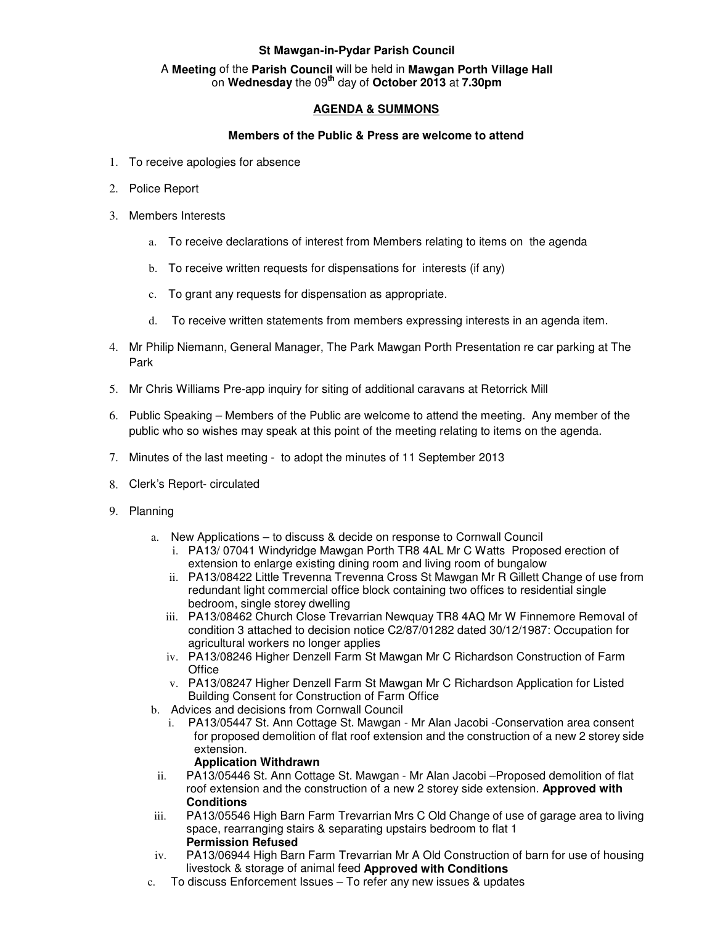# **St Mawgan-in-Pydar Parish Council**

### A **Meeting** of the **Parish Council** will be held in **Mawgan Porth Village Hall** on **Wednesday** the 09**th** day of **October 2013** at **7.30pm**

# **AGENDA & SUMMONS**

### **Members of the Public & Press are welcome to attend**

- 1. To receive apologies for absence
- 2. Police Report
- 3. Members Interests
	- a. To receive declarations of interest from Members relating to items on the agenda
	- b. To receive written requests for dispensations for interests (if any)
	- c. To grant any requests for dispensation as appropriate.
	- d. To receive written statements from members expressing interests in an agenda item.
- 4. Mr Philip Niemann, General Manager, The Park Mawgan Porth Presentation re car parking at The Park
- 5. Mr Chris Williams Pre-app inquiry for siting of additional caravans at Retorrick Mill
- 6. Public Speaking Members of the Public are welcome to attend the meeting. Any member of the public who so wishes may speak at this point of the meeting relating to items on the agenda.
- 7. Minutes of the last meeting to adopt the minutes of 11 September 2013
- 8. Clerk's Report- circulated
- 9. Planning
	- a. New Applications to discuss & decide on response to Cornwall Council
		- i. PA13/ 07041 Windyridge Mawgan Porth TR8 4AL Mr C Watts Proposed erection of extension to enlarge existing dining room and living room of bungalow
		- ii. PA13/08422 Little Trevenna Trevenna Cross St Mawgan Mr R Gillett Change of use from redundant light commercial office block containing two offices to residential single bedroom, single storey dwelling
		- iii. PA13/08462 Church Close Trevarrian Newquay TR8 4AQ Mr W Finnemore Removal of condition 3 attached to decision notice C2/87/01282 dated 30/12/1987: Occupation for agricultural workers no longer applies
		- iv. PA13/08246 Higher Denzell Farm St Mawgan Mr C Richardson Construction of Farm **Office**
		- v. PA13/08247 Higher Denzell Farm St Mawgan Mr C Richardson Application for Listed Building Consent for Construction of Farm Office
	- b. Advices and decisions from Cornwall Council
		- i. PA13/05447 St. Ann Cottage St. Mawgan Mr Alan Jacobi -Conservation area consent for proposed demolition of flat roof extension and the construction of a new 2 storey side extension.

### **Application Withdrawn**

- ii. PA13/05446 St. Ann Cottage St. Mawgan Mr Alan Jacobi –Proposed demolition of flat roof extension and the construction of a new 2 storey side extension. **Approved with Conditions**
- iii. PA13/05546 High Barn Farm Trevarrian Mrs C Old Change of use of garage area to living space, rearranging stairs & separating upstairs bedroom to flat 1 **Permission Refused**
- iv. PA13/06944 High Barn Farm Trevarrian Mr A Old Construction of barn for use of housing livestock & storage of animal feed **Approved with Conditions**
- c. To discuss Enforcement Issues To refer any new issues & updates